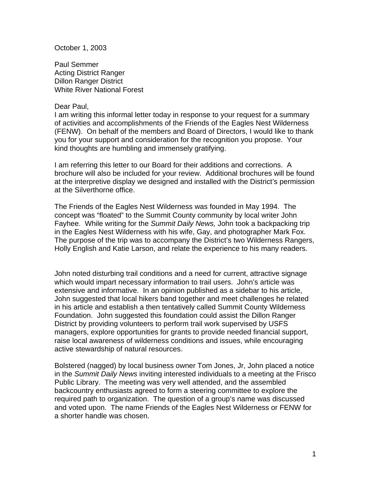October 1, 2003

Paul Semmer Acting District Ranger Dillon Ranger District White River National Forest

## Dear Paul,

I am writing this informal letter today in response to your request for a summary of activities and accomplishments of the Friends of the Eagles Nest Wilderness (FENW). On behalf of the members and Board of Directors, I would like to thank you for your support and consideration for the recognition you propose. Your kind thoughts are humbling and immensely gratifying.

I am referring this letter to our Board for their additions and corrections. A brochure will also be included for your review. Additional brochures will be found at the interpretive display we designed and installed with the District's permission at the Silverthorne office.

The Friends of the Eagles Nest Wilderness was founded in May 1994. The concept was "floated" to the Summit County community by local writer John Fayhee. While writing for the *Summit Daily News,* John took a backpacking trip in the Eagles Nest Wilderness with his wife, Gay, and photographer Mark Fox. The purpose of the trip was to accompany the District's two Wilderness Rangers, Holly English and Katie Larson, and relate the experience to his many readers.

John noted disturbing trail conditions and a need for current, attractive signage which would impart necessary information to trail users. John's article was extensive and informative. In an opinion published as a sidebar to his article, John suggested that local hikers band together and meet challenges he related in his article and establish a then tentatively called Summit County Wilderness Foundation. John suggested this foundation could assist the Dillon Ranger District by providing volunteers to perform trail work supervised by USFS managers, explore opportunities for grants to provide needed financial support, raise local awareness of wilderness conditions and issues, while encouraging active stewardship of natural resources.

Bolstered (nagged) by local business owner Tom Jones, Jr, John placed a notice in the *Summit Daily News* inviting interested individuals to a meeting at the Frisco Public Library. The meeting was very well attended, and the assembled backcountry enthusiasts agreed to form a steering committee to explore the required path to organization. The question of a group's name was discussed and voted upon. The name Friends of the Eagles Nest Wilderness or FENW for a shorter handle was chosen.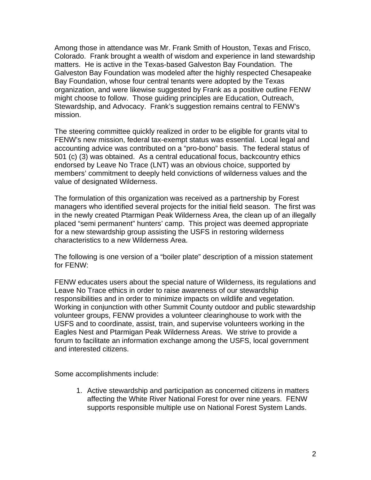Among those in attendance was Mr. Frank Smith of Houston, Texas and Frisco, Colorado. Frank brought a wealth of wisdom and experience in land stewardship matters. He is active in the Texas-based Galveston Bay Foundation. The Galveston Bay Foundation was modeled after the highly respected Chesapeake Bay Foundation, whose four central tenants were adopted by the Texas organization, and were likewise suggested by Frank as a positive outline FENW might choose to follow. Those guiding principles are Education, Outreach, Stewardship, and Advocacy. Frank's suggestion remains central to FENW's mission.

The steering committee quickly realized in order to be eligible for grants vital to FENW's new mission, federal tax-exempt status was essential. Local legal and accounting advice was contributed on a "pro-bono" basis. The federal status of 501 (c) (3) was obtained. As a central educational focus, backcountry ethics endorsed by Leave No Trace (LNT) was an obvious choice, supported by members' commitment to deeply held convictions of wilderness values and the value of designated Wilderness.

The formulation of this organization was received as a partnership by Forest managers who identified several projects for the initial field season. The first was in the newly created Ptarmigan Peak Wilderness Area, the clean up of an illegally placed "semi permanent" hunters' camp. This project was deemed appropriate for a new stewardship group assisting the USFS in restoring wilderness characteristics to a new Wilderness Area.

The following is one version of a "boiler plate" description of a mission statement for FENW:

FENW educates users about the special nature of Wilderness, its regulations and Leave No Trace ethics in order to raise awareness of our stewardship responsibilities and in order to minimize impacts on wildlife and vegetation. Working in conjunction with other Summit County outdoor and public stewardship volunteer groups, FENW provides a volunteer clearinghouse to work with the USFS and to coordinate, assist, train, and supervise volunteers working in the Eagles Nest and Ptarmigan Peak Wilderness Areas. We strive to provide a forum to facilitate an information exchange among the USFS, local government and interested citizens.

Some accomplishments include:

1. Active stewardship and participation as concerned citizens in matters affecting the White River National Forest for over nine years. FENW supports responsible multiple use on National Forest System Lands.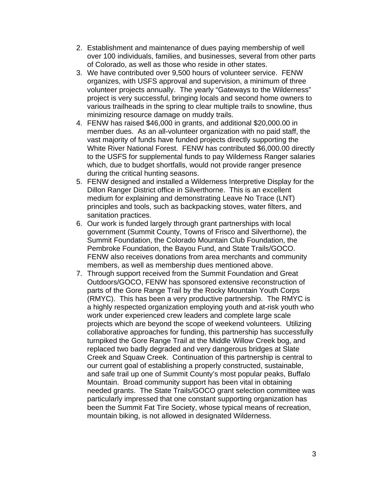- 2. Establishment and maintenance of dues paying membership of well over 100 individuals, families, and businesses, several from other parts of Colorado, as well as those who reside in other states.
- 3. We have contributed over 9,500 hours of volunteer service. FENW organizes, with USFS approval and supervision, a minimum of three volunteer projects annually. The yearly "Gateways to the Wilderness" project is very successful, bringing locals and second home owners to various trailheads in the spring to clear multiple trails to snowline, thus minimizing resource damage on muddy trails.
- 4. FENW has raised \$46,000 in grants, and additional \$20,000.00 in member dues. As an all-volunteer organization with no paid staff, the vast majority of funds have funded projects directly supporting the White River National Forest. FENW has contributed \$6,000.00 directly to the USFS for supplemental funds to pay Wilderness Ranger salaries which, due to budget shortfalls, would not provide ranger presence during the critical hunting seasons.
- 5. FENW designed and installed a Wilderness Interpretive Display for the Dillon Ranger District office in Silverthorne. This is an excellent medium for explaining and demonstrating Leave No Trace (LNT) principles and tools, such as backpacking stoves, water filters, and sanitation practices.
- 6. Our work is funded largely through grant partnerships with local government (Summit County, Towns of Frisco and Silverthorne), the Summit Foundation, the Colorado Mountain Club Foundation, the Pembroke Foundation, the Bayou Fund, and State Trails/GOCO. FENW also receives donations from area merchants and community members, as well as membership dues mentioned above.
- 7. Through support received from the Summit Foundation and Great Outdoors/GOCO, FENW has sponsored extensive reconstruction of parts of the Gore Range Trail by the Rocky Mountain Youth Corps (RMYC). This has been a very productive partnership. The RMYC is a highly respected organization employing youth and at-risk youth who work under experienced crew leaders and complete large scale projects which are beyond the scope of weekend volunteers. Utilizing collaborative approaches for funding, this partnership has successfully turnpiked the Gore Range Trail at the Middle Willow Creek bog, and replaced two badly degraded and very dangerous bridges at Slate Creek and Squaw Creek. Continuation of this partnership is central to our current goal of establishing a properly constructed, sustainable, and safe trail up one of Summit County's most popular peaks, Buffalo Mountain. Broad community support has been vital in obtaining needed grants. The State Trails/GOCO grant selection committee was particularly impressed that one constant supporting organization has been the Summit Fat Tire Society, whose typical means of recreation, mountain biking, is not allowed in designated Wilderness.